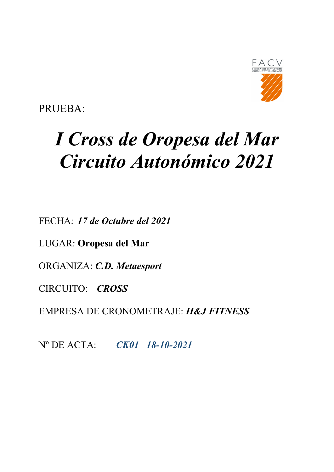

PRUEBA:

# I Cross de Oropesa del Mar Circuito Autonómico 2021

FECHA: 17 de Octubre del 2021

LUGAR: Oropesa del Mar

ORGANIZA: C.D. Metaesport

CIRCUITO: CROSS

EMPRESA DE CRONOMETRAJE: H&J FITNESS

Nº DE ACTA: CK01 18-10-2021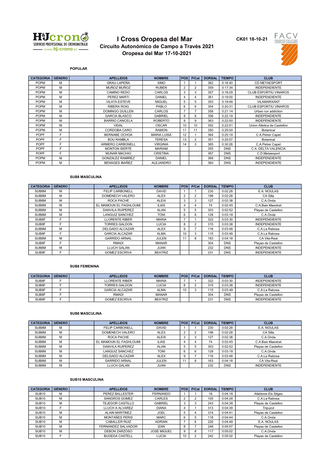

# I Cross Oropesa del Mar Circuito Autonómico de Campo a Través 2021 Oropesa del Mar 17-10-2021

CK01 18-10-21



POPULAR

| <b>CATEGORIA</b> | <b>GÉNERO</b> | <b>APELLIDOS</b>        | <b>NOMBRE</b>      | <b>POS</b> | P/Cat          | <b>DORSAL</b> | <b>TIEMPO</b> | <b>CLUB</b>                  |
|------------------|---------------|-------------------------|--------------------|------------|----------------|---------------|---------------|------------------------------|
| <b>POPM</b>      | M             | <b>GRAU LAPEÑA</b>      | <b>XIMO</b>        |            |                | 362           | 0:16:40       | <b>CD METAESPORT</b>         |
| <b>POPM</b>      | M             | MUÑOZ MUÑOZ             | <b>RUBEN</b>       | 2          | $\overline{2}$ | 359           | 0:17:34       | <b>INDEPENDIENTE</b>         |
| <b>POPM</b>      | м             | <b>CAMINO REDO</b>      | CARLOS             | 3          | 3              | 357           | 0:18:29       | CLUB ESPORTIU VINAROS        |
| <b>POPM</b>      | M             | PEREZ MARTI             | DANIEL             | 4          | 4              | 361           | 0:19:00       | <b>INDEPENDIENTE</b>         |
| <b>POPM</b>      | M             | <b>VILATA ESTEVE</b>    | <b>MIGUEL</b>      | 5          | 5              | 353           | 0:19:46       | VILAMARXANT                  |
| <b>POPM</b>      | M             | <b>RIBERA ROIG</b>      | PABLO              | 6          | 6              | 354           | 0:20:31       | <b>CLUB ESPORTIU VINAROS</b> |
| <b>POPM</b>      | M             | <b>DOMINGO GUILLEN</b>  | CARLOS             | ۰,         |                | 358           | 0:21:14       | Urban run addiction          |
| <b>POPM</b>      | м             | <b>GARCIA BLASCO</b>    | GABRIEL            | 8          | 8              | 356           | 0:22:19       | <b>INDEPENDIENTE</b>         |
| <b>POPM</b>      | м             | <b>BARRIO CANCELA</b>   | <b>ROBERTO</b>     | 9          | 9              | 363           | 0:22:50       | <b>INDEPENDIENTE</b>         |
| <b>POPM</b>      | м             | <b>VIDAL</b>            | <b>OSCAR</b>       | 10         | 10             | 352           | 0:22:51       | Union Atletica de Castellon  |
| <b>POPM</b>      | м             | CORDOBA CARO            | <b>RAMON</b>       | 11         | 11             | 350           | 0:25:00       | Botanical                    |
| <b>POPF</b>      | F             | BERNABE OCHOA           | <b>MARIA LUISA</b> | 12         |                | 364           | 0:25:19       | C.A.Petrer Capet             |
| <b>POPF</b>      | F             | <b>BOU RAMBLA</b>       | <b>TERESA</b>      | 13         | $\overline{2}$ | 351           | 0:25:57       | <b>Botanical</b>             |
| POPF             | F             | ARMERO CARBONELL        | <b>VIRGINIA</b>    | 14         | 3              | 365           | 0:30:26       | C.A.Petrer Capet             |
| <b>POPF</b>      | F             | <b>MONTON ISERTE</b>    | <b>MARIAM</b>      |            |                | 355           | <b>DNS</b>    | C.A. DELTA VALENCIA          |
| <b>POPF</b>      | F             | <b>MUNAR MACHIO</b>     | <b>CRISTINA</b>    |            |                | 367           | <b>DNS</b>    | C.D.Metaesport               |
| <b>POPM</b>      | M             | <b>GONZALEZ RAMIREZ</b> | <b>DANIEL</b>      |            |                | 366           | <b>DNS</b>    | <b>INDEPENDIENTE</b>         |
| <b>POPM</b>      | M             | <b>BENAGES IBAÑEZ</b>   | <b>ALEJANDRO</b>   |            |                | 360           | <b>DNS</b>    | <b>INDEPENDIENTE</b>         |

## SUB8 MASCULINA

| <b>CATEGORIA</b> | <b>GÉNERO</b> | <b>APELLIDOS</b>        | <b>NOMBRE</b>  | <b>POS</b>     | P/Cat          | <b>DORSAL</b> | <b>TIEMPO</b> | <b>CLUB</b>          |
|------------------|---------------|-------------------------|----------------|----------------|----------------|---------------|---------------|----------------------|
| SUB8M            | м             | <b>FELIP CARBONELL</b>  | <b>DAVID</b>   |                |                | 230           | 0:02:28       | E.A. NOULAS          |
| SUB8M            | м             | DOMENECH VALERO         | <b>ALEX</b>    | $\overline{2}$ | $\overline{2}$ | 198           | 0:02:28       | CA Silla             |
| SUB8M            | M             | ROCA PACHE              | <b>ALEIX</b>   | 3              | 3              | 127           | 0:02:38       | C.A.Onda             |
| SUB8M            | M             | EL MAMOUN EL FAGHLOUMI  | <b>ILIAS</b>   | 4              | 4              | 74            | 0:02:45       | C.A.Baix Maestrat    |
| SUB8M            | M             | <b>DANVILA RUIPEREZ</b> | <b>ALAN</b>    | 5              | 5              | 303           | 0:02:52       | Playas de Castellon  |
| SUB8M            | M             | <b>LANGUIZ SANCHEZ</b>  | <b>TONI</b>    | 6              | 6              | 128           | 0:03:18       | C.A.Onda             |
| SUB8F            | F             | <b>LLORENTE RIBER</b>   | <b>MARIA</b>   |                |                | 322           | 0:03:30       | <b>INDEPENDIENTE</b> |
| SUB8F            | Е             | <b>TORRES GALDON</b>    | <b>LUCIA</b>   | 8              | 2              | 315           | 0:03:38       | <b>INDEPENDIENTE</b> |
| SUB8M            | м             | DELGADO ALCAZAR         | <b>ALEX</b>    | 9              |                | 116           | 0:03:48       | C.A.La Rabosa        |
| SUB8F            | Е             | <b>GARCIA ALCAZAR</b>   | <b>ALMA</b>    | 10             | 3              | 115           | 0:03:49       | C.A.La Rabosa        |
| SUB8M            | M             | <b>GARRIDO ARNAL</b>    | <b>JULEN</b>   | 11             | 8              | 163           | 0:04:18       | CA Vila-Real         |
| SUB8F            | F             | RMADI                   | <b>MANAR</b>   |                |                | 304           | <b>DNS</b>    | Playas de Castellon  |
| SUB8M            | M             | <b>LLUCH GALAN</b>      | <b>JUAN</b>    |                |                | 232           | <b>DNS</b>    | <b>INDEPENDIENTE</b> |
| SUB8F            | E             | <b>GOMEZ ESCRIVA</b>    | <b>BEATRIZ</b> |                |                | 231           | <b>DNS</b>    | <b>INDEPENDIENTE</b> |

#### SUB8 FEMENINA

| <b>CATEGORIA</b> | l Género l | <b>APELLIDOS</b>      | <b>NOMBRE</b>  | <b>POS</b> | P/Cat | <b>DORSAL</b> | <b>TIEMPO</b> | <b>CLUB</b>          |
|------------------|------------|-----------------------|----------------|------------|-------|---------------|---------------|----------------------|
| SUB8F            |            | LLORENTE RIBER        | <b>MARIA</b>   |            |       | 322           | 0:03:30       | <b>INDEPENDIENTE</b> |
| SUB8F            |            | TORRES GALDON         | <b>LUCIA</b>   |            |       | 315           | 0:03:38       | <b>INDEPENDIENTE</b> |
| SUB8F            |            | <b>GARCIA ALCAZAR</b> | <b>ALMA</b>    | 10         |       | 115           | 0:03:49       | C.A.La Rabosa        |
| SUB8F            |            | RMADI                 | <b>MANAR</b>   |            |       | 304           | <b>DNS</b>    | Plavas de Castellon  |
| SUB8F            |            | <b>GOMEZ ESCRIVA</b>  | <b>BEATRIZ</b> |            |       | 23'           | <b>DNS</b>    | <b>INDEPENDIENTE</b> |

#### SUB8 MASCULINA

| <b>CATEGORIA</b> | <b>GÉNERO</b> | <b>APELLIDOS</b>        | <b>NOMBRE</b> | POS | P/Cat | <b>DORSAL</b> | <b>TIEMPO</b> | <b>CLUB</b>          |
|------------------|---------------|-------------------------|---------------|-----|-------|---------------|---------------|----------------------|
| SUB8M            | M             | <b>FELIP CARBONELL</b>  | <b>DAVID</b>  |     |       | 230           | 0:02:28       | E.A. NOULAS          |
| SUB8M            | M             | DOMENECH VALERO         | <b>ALEX</b>   |     |       | 198           | 0:02:28       | CA Silla             |
| SUB8M            | M             | ROCA PACHE              | <b>ALEIX</b>  |     |       | 127           | 0:02:38       | C.A.Onda             |
| SUB8M            | м             | EL MAMOUN EL FAGHLOUMI  | <b>ILIAS</b>  |     |       | 74            | 0:02:45       | C.A.Baix Maestrat    |
| SUB8M            | M             | <b>DANVILA RUIPEREZ</b> | <b>ALAN</b>   |     | Ð.    | 303           | 0:02:52       | Playas de Castellon  |
| SUB8M            | M             | LANGUIZ SANCHEZ         | <b>TONI</b>   | 6   | 6     | 128           | 0:03:18       | C.A.Onda             |
| SUB8M            | M             | <b>DELGADO ALCAZAR</b>  | <b>ALEX</b>   |     |       | 116           | 0:03:48       | C.A.La Rabosa        |
| SUB8M            | M             | <b>GARRIDO ARNAL</b>    | <b>JULEN</b>  |     | 8     | 163           | 0:04:18       | CA Vila-Real         |
| SUB8M            | М             | <b>LLUCH GALAN</b>      | JUAN          |     |       | 232           | <b>DNS</b>    | <b>INDEPENDIENTE</b> |

#### SUB10 MASCULINA

| <b>CATEGORIA</b>  | <b>GÉNERO</b> | <b>APELLIDOS</b>      | <b>NOMBRE</b>      | <b>POS</b> | P/Cat | <b>DORSAL</b> | <b>TIEMPO</b> | <b>CLUB</b>          |
|-------------------|---------------|-----------------------|--------------------|------------|-------|---------------|---------------|----------------------|
| SUB <sub>10</sub> | M             | PEREZ BALLESTER       | FERNANDO           |            |       | 16            | 0:04:18       | Atletisme Els Sitges |
| SUB <sub>10</sub> | M             | <b>SANGROS GOMEZ</b>  | CARLES             |            |       | 105           | 0:04:28       | C.A.La Rabosa        |
| SUB <sub>10</sub> | M             | TEJEDOR CASTILLO      | <b>GABRIEL</b>     | 3          | 3     | 243           | 0:04:38       | Playas de Castellon  |
| SUB <sub>10</sub> | F             | LLUCH A ALVAREZ       | <b>DIANA</b>       | 4          |       | 313           | 0:04:39       | Tripuzol             |
| SUB <sub>10</sub> | M             | <b>ALAIN MARTINEZ</b> | <b>JOEL</b>        | h          |       | 314           | 0:04:41       | Playas de Castellon  |
| SUB <sub>10</sub> | M             | <b>MONTAÑES PERIS</b> | <b>MARC</b>        | 6          | .b    | 118           | 0:04:44       | C.A.Onda             |
| SUB <sub>10</sub> | M             | <b>CABALLER RUIZ</b>  | <b>ADRIAN</b>      |            | 6     | 226           | 0:04:48       | E.A. NOULAS          |
| SUB <sub>10</sub> | M             | FERNANDEZ SALVADOR    | <b>IZAN</b>        | 8          |       | 248           | 0:04:57       | Playas de Castellon  |
| SUB <sub>10</sub> | M             | <b>DEBON ZARZOSO</b>  | <b>JOSE MIGUEL</b> | 9          | 8     | 117           | 0:05:02       | C.A.Onda             |
| SUB <sub>10</sub> | F             | <b>BUGEDA CASTELL</b> | <b>LUCIA</b>       | 10         |       | 242           | 0:05:02       | Playas de Castellon  |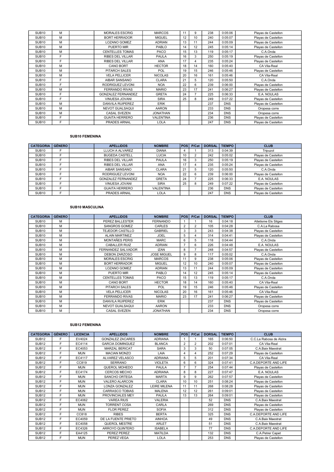| SUB <sub>10</sub> | м | <b>MORALES ESCRIG</b>     | <b>MARCOS</b>    | 11 | 9  | 238 | 0:05:06    | Playas de Castellon |
|-------------------|---|---------------------------|------------------|----|----|-----|------------|---------------------|
| SUB <sub>10</sub> | M | <b>BORT HERRADOR</b>      | <b>MIGUEL</b>    | 12 | 10 | 240 | 0:05:07    | Playas de Castellon |
| SUB <sub>10</sub> | M | <b>LOZANO GOMEZ</b>       | <b>ADRIAN</b>    | 13 | 11 | 244 | 0:05:09    | Playas de Castellon |
| SUB <sub>10</sub> | м | PUERTO MIR                | PABLO            | 14 | 12 | 245 | 0:05:14    | Playas de Castellon |
| SUB <sub>10</sub> | м | <b>CENTELLES TOMAS</b>    | <b>PACO</b>      | 15 | 13 | 119 | 0:05:17    | C.A.Onda            |
| SUB <sub>10</sub> | F | <b>RIBES DEL VILLAR</b>   | <b>PAULA</b>     | 16 | 3  | 250 | 0:05:19    | Playas de Castellon |
| SUB <sub>10</sub> | F | <b>RIBES DEL VILLAR</b>   | <b>ANA</b>       | 17 |    | 235 | 0:05:24    | Playas de Castellon |
| SUB <sub>10</sub> | м | <b>CANO BORT</b>          | <b>HECTOR</b>    | 18 | 14 | 160 | 0:05:40    | CA Vila-Real        |
| SUB <sub>10</sub> | M | <b>PITARCH SALES</b>      | POL              | 19 | 15 | 246 | 0:05:46    | Playas de Castellon |
| SUB <sub>10</sub> | м | <b>VELA PELLICER</b>      | <b>NICOLAS</b>   | 20 | 16 | 161 | 0:05:46    | CA Vila-Real        |
| SUB <sub>10</sub> | F | AIBAR SANSANO             | <b>CLARA</b>     | 21 | 5  | 120 | 0:05:50    | C.A.Onda            |
| SUB <sub>10</sub> | F | RODRIGUEZ LEVONI          | <b>NOA</b>       | 22 | 6  | 239 | 0:06:00    | Playas de Castellon |
| SUB <sub>10</sub> | м | <b>FERRANDO RIVAS</b>     | <b>MARIO</b>     | 23 | 17 | 241 | 0:06:27    | Playas de Castellon |
| SUB <sub>10</sub> | F | <b>GONZALEZ FERNANDEZ</b> | <b>GRETA</b>     | 24 |    | 225 | 0:06:33    | E.A. NOULAS         |
| SUB <sub>10</sub> | F | VINUESA JOVANI            | <b>SIRA</b>      | 25 | 8  | 249 | 0:07:22    | Playas de Castellon |
| SUB <sub>10</sub> | м | <b>DANVILA RUIPEREZ</b>   | <b>ERIK</b>      |    |    | 237 | <b>DNS</b> | Playas de Castellon |
| SUB <sub>10</sub> | м | <b>NEVOT GUALSAQUI</b>    | <b>AARON</b>     |    |    | 233 | <b>DNS</b> | Oropesa corre       |
| SUB <sub>10</sub> | м | <b>CASAL SVEZEN</b>       | <b>JONATHAN</b>  |    |    | 234 | <b>DNS</b> | Oropesa corre       |
| <b>SUB10</b>      | F | <b>GUAITA HERRERO</b>     | <b>VALENTINA</b> |    |    | 236 | <b>DNS</b> | Playas de Castellon |
| SUB <sub>10</sub> | F | <b>PRADES ARNAL</b>       | <b>LOLA</b>      |    |    | 247 | <b>DNS</b> | Playas de Castellon |

## SUB10 FEMENINA

| <b>CATEGORIA</b>  | <b>GÉNERO</b> | <b>APELLIDOS</b>          | <b>NOMBRE</b>    | POS | P/Cat | <b>DORSAL</b> | <b>TIEMPO</b> | <b>CLUB</b>         |
|-------------------|---------------|---------------------------|------------------|-----|-------|---------------|---------------|---------------------|
| SUB <sub>10</sub> |               | LLUCH A ALVAREZ           | <b>DIANA</b>     |     |       | 313           | 0:04:39       | Tripuzol            |
| SUB <sub>10</sub> |               | <b>BUGEDA CASTELL</b>     | <b>LUCIA</b>     | 10  |       | 242           | 0:05:02       | Playas de Castellon |
| SUB <sub>10</sub> |               | <b>RIBES DEL VILLAR</b>   | PAULA            | 16  | 3     | 250           | 0:05:19       | Playas de Castellon |
| SUB <sub>10</sub> | F             | <b>RIBES DEL VILLAR</b>   | <b>ANA</b>       | 17  |       | 235           | 0:05:24       | Playas de Castellon |
| SUB <sub>10</sub> | E             | AIBAR SANSANO             | <b>CLARA</b>     | 21  |       | 120           | 0:05:50       | C.A.Onda            |
| SUB <sub>10</sub> |               | RODRIGUEZ LEVONI          | <b>NOA</b>       | 22  | 6     | 239           | 0:06:00       | Playas de Castellon |
| SUB <sub>10</sub> | F             | <b>GONZALEZ FERNANDEZ</b> | <b>GRETA</b>     | 24  |       | 225           | 0:06:33       | E.A. NOULAS         |
| SUB <sub>10</sub> | Е             | VINUESA JOVANI            | <b>SIRA</b>      | 25  | 8     | 249           | 0:07:22       | Playas de Castellon |
| SUB <sub>10</sub> | E             | <b>GUAITA HERRERO</b>     | <b>VALENTINA</b> |     |       | 236           | <b>DNS</b>    | Playas de Castellon |
| SUB <sub>10</sub> |               | PRADES ARNAL              | <b>LOLA</b>      |     |       | 247           | <b>DNS</b>    | Playas de Castellon |

## SUB10 MASCULINA

| <b>CATEGORIA</b>  | <b>GÉNERO</b> | <b>APELLIDOS</b>        | <b>NOMBRE</b>      | <b>POS</b>     | P/Cat          | <b>DORSAL</b> | <b>TIEMPO</b> | <b>CLUB</b>          |
|-------------------|---------------|-------------------------|--------------------|----------------|----------------|---------------|---------------|----------------------|
| SUB <sub>10</sub> | м             | PEREZ BALLESTER         | <b>FERNANDO</b>    |                |                | 16            | 0:04:18       | Atletisme Els Sitges |
| SUB <sub>10</sub> | M             | SANGROS GOMEZ           | CARLES             | $\overline{2}$ | $\overline{2}$ | 105           | 0:04:28       | C.A.La Rabosa        |
| <b>SUB10</b>      | м             | TEJEDOR CASTILLO        | <b>GABRIEL</b>     | 3              | 3              | 243           | 0:04:38       | Playas de Castellon  |
| SUB <sub>10</sub> | M             | <b>ALAIN MARTINEZ</b>   | <b>JOEL</b>        | 5              |                | 314           | 0:04:41       | Playas de Castellon  |
| <b>SUB10</b>      | M             | <b>MONTAÑES PERIS</b>   | <b>MARC</b>        | 6              | 5              | 118           | 0:04:44       | C.A.Onda             |
| SUB <sub>10</sub> | м             | <b>CABALLER RUIZ</b>    | <b>ADRIAN</b>      | 7              | 6              | 226           | 0:04:48       | E.A. NOULAS          |
| SUB <sub>10</sub> | M             | FERNANDEZ SALVADOR      | <b>IZAN</b>        | 8              | 7              | 248           | 0:04:57       | Playas de Castellon  |
| SUB <sub>10</sub> | M             | <b>DEBON ZARZOSO</b>    | <b>JOSE MIGUEL</b> | 9              | 8              | 117           | 0:05:02       | C.A.Onda             |
| <b>SUB10</b>      | M             | <b>MORALES ESCRIG</b>   | <b>MARCOS</b>      | 11             | 9              | 238           | 0:05:06       | Playas de Castellon  |
| SUB <sub>10</sub> | M             | <b>BORT HERRADOR</b>    | <b>MIGUEL</b>      | 12             | 10             | 240           | 0:05:07       | Playas de Castellon  |
| SUB <sub>10</sub> | M             | <b>LOZANO GOMEZ</b>     | <b>ADRIAN</b>      | 13             | 11             | 244           | 0:05:09       | Playas de Castellon  |
| SUB <sub>10</sub> | м             | PUERTO MIR              | PABLO              | 14             | 12             | 245           | 0:05:14       | Playas de Castellon  |
| SUB <sub>10</sub> | м             | <b>CENTELLES TOMAS</b>  | <b>PACO</b>        | 15             | 13             | 119           | 0:05:17       | C.A.Onda             |
| SUB <sub>10</sub> | м             | <b>CANO BORT</b>        | <b>HECTOR</b>      | 18             | 14             | 160           | 0:05:40       | CA Vila-Real         |
| SUB <sub>10</sub> | M             | PITARCH SALES           | <b>POL</b>         | 19             | 15             | 246           | 0:05:46       | Playas de Castellon  |
| SUB <sub>10</sub> | м             | <b>VELA PELLICER</b>    | <b>NICOLAS</b>     | 20             | 16             | 161           | 0:05:46       | CA Vila-Real         |
| SUB <sub>10</sub> | м             | <b>FERRANDO RIVAS</b>   | <b>MARIO</b>       | 23             | 17             | 241           | 0:06:27       | Playas de Castellon  |
| SUB <sub>10</sub> | м             | <b>DANVILA RUIPEREZ</b> | <b>ERIK</b>        |                |                | 237           | <b>DNS</b>    | Playas de Castellon  |
| SUB <sub>10</sub> | м             | <b>NEVOT GUALSAQUI</b>  | <b>AARON</b>       |                |                | 233           | <b>DNS</b>    | Oropesa corre        |
| SUB <sub>10</sub> | м             | <b>CASAL SVEZEN</b>     | <b>JONATHAN</b>    |                |                | 234           | <b>DNS</b>    | Oropesa corre        |

#### SUB12 FEMENINA

| <b>CATEGORIA</b>  | <b>GÉNERO</b> | <b>LICENCIA</b> | <b>APELLIDOS</b>        | <b>NOMBRE</b>  | <b>POS</b>     | P/Cat          | <b>DORSAL</b> | <b>TIEMPO</b> | <b>CLUB</b>             |
|-------------------|---------------|-----------------|-------------------------|----------------|----------------|----------------|---------------|---------------|-------------------------|
| SUB <sub>12</sub> |               | EV4024          | <b>GONZALEZ ZACARES</b> | <b>ADRIANA</b> |                |                | 165           | 0:06:50       | C.C.La Rabosa de Alzira |
| SUB <sub>12</sub> | F             | EC4114          | <b>GARCIA DOMINGUEZ</b> | <b>BLANCA</b>  | $\overline{2}$ | $\overline{2}$ | 202           | 0:07:01       | CA Vila-Real            |
| <b>SUB12</b>      | F             | EC4053          | <b>MARZAL BERICAT</b>   | <b>SARA</b>    | 3              | 3              | 50            | 0:07:05       | C.A.Baix Maestrat       |
| <b>SUB12</b>      | F             | <b>MUN</b>      | <b>MACIAN MONZO</b>     | LAIA           | 4              | 4              | 252           | 0:07:29       | Playas de Castellon     |
| SUB <sub>12</sub> | F             | EC4117          | ALVAREZ VELASCO         | <b>ADRIANA</b> | 5              | 5              | 201           | 0:07:34       | CA Vila-Real            |
| SUB <sub>12</sub> | F             | CC819           | <b>SERRANO</b>          | <b>VIOLETA</b> | 6              | 6              | 324           | 0:07:41       | C.A.DEPORTE AND LIFE    |
| <b>SUB12</b>      | F             | <b>MUN</b>      | QUEROL MOHEDO           | <b>PAULA</b>   | 7              |                | 254           | 0:07:44       | Playas de Castellon     |
| <b>SUB12</b>      | F.            | EC4174          | <b>CERCOS MECHO</b>     | <b>ADRIANA</b> | 8              | 8              | 227           | 0:07:47       | E.A. NOULAS             |
| <b>SUB12</b>      | F             | <b>MUN</b>      | SANCHO ORTEGA           | <b>MARTA</b>   | 9              | 9              | 262           | 0:07:57       | Playas de Castellon     |
| SUB <sub>12</sub> | F             | <b>MUN</b>      | <b>VALERO ALARCON</b>   | CLARA          | 10             | 10             | 251           | 0:08:24       | Playas de Castellon     |
| SUB <sub>12</sub> | F             | <b>MUN</b>      | <b>LONZA GONZALEZ</b>   | LEIRE MILENA   | 11             | 11             | 268           | 0:08:28       | Playas de Castellon     |
| <b>SUB12</b>      | F             | <b>MUN</b>      | <b>CARRASCO TOBIAS</b>  | <b>MALENA</b>  | 12             | 12             | 261           | 0:09:01       | Playas de Castellon     |
| SUB <sub>12</sub> | F             | <b>MUN</b>      | PROVINCIALES MEY        | <b>PAULA</b>   | 13             | 13             | 264           | 0:09:01       | Playas de Castellon     |
| <b>SUB12</b>      | F             | EC4062          | <b>VAREA RIUS</b>       | <b>VALERIA</b> |                |                | 52            | <b>DNS</b>    | C.A.Baix Maestrat       |
| <b>SUB12</b>      | F             | <b>MUN</b>      | <b>TORRENT COSA</b>     | CARLA          |                |                | 269           | <b>DNS</b>    | Playas de Castellon     |
| <b>SUB12</b>      | F             | <b>MUN</b>      | <b>FLOR PEREZ</b>       | <b>SOFIA</b>   |                |                | 312           | <b>DNS</b>    | Playas de Castellon     |
| <b>SUB12</b>      | F             | CC818           | <b>RIBES</b>            | <b>BERTA</b>   |                |                | 325           | <b>DNS</b>    | C.A.DEPORTE AND LIFE    |
| SUB <sub>12</sub> | F             | EC4059          | DE LA FUENTE PRIETO     | <b>AINHOA</b>  |                |                | 49            | <b>DNS</b>    | C.A.Baix Maestrat       |
| SUB <sub>12</sub> | F             | EC4058          | QUEROL MESTRE           | ARLET          |                |                | 51            | <b>DNS</b>    | C.A.Baix Maestrat       |
| SUB <sub>12</sub> | F             | EC4326          | ARROYO QUINTERO         | <b>ISABELA</b> |                |                | 77            | <b>DNS</b>    | C.A.DEPORTE AND LIFE    |
| <b>SUB12</b>      | F             | EA4125          | PEREZ PEREZ             | <b>MATILDA</b> |                |                | 132           | <b>DNS</b>    | C.A.Petrer Capet        |
| <b>SUB12</b>      | F             | <b>MUN</b>      | PEREZ VEGA              | LOLA           |                |                | 253           | <b>DNS</b>    | Playas de Castellon     |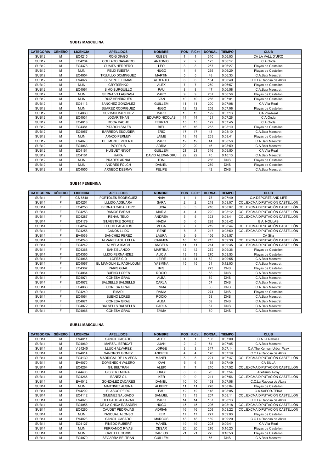#### SUB12 MASCULINA

| <b>CATEGORIA</b>  | <b>GÉNERO</b> | <b>LICENCIA</b> | <b>APELLIDOS</b>        | <b>NOMBRE</b>         | <b>POS</b>     | P/Cat          | <b>DORSAL</b> | <b>TIEMPO</b> | <b>CLUB</b>             |
|-------------------|---------------|-----------------|-------------------------|-----------------------|----------------|----------------|---------------|---------------|-------------------------|
| SUB <sub>12</sub> | м             | EC4215          | <b>ROIG DIAGO</b>       | <b>RUBEN</b>          |                |                | 310           | 0:06:03       | CA LA VALL D'UIXO       |
| <b>SUB12</b>      | M             | EC4204          | COLLADO NAVARRO         | <b>ANTONIO</b>        | $\overline{2}$ | $\overline{2}$ | 123           | 0:06:17       | C.A.Onda                |
| <b>SUB12</b>      | M             | EC4378          | <b>GUAITA HERRERO</b>   | LEO                   | 3              | 3              | 257           | 0:06:27       | Playas de Castellon     |
| SUB <sub>12</sub> | M             | <b>MUN</b>      | <b>FELIX INIESTA</b>    | <b>HUGO</b>           | $\overline{4}$ | $\overline{4}$ | 265           | 0:06:29       | Playas de Castellon     |
| SUB <sub>12</sub> | M             | EC4054          | TRUJILLO DOMINGUEZ      | <b>MARTIN</b>         | 5              | 5              | 48            | 0:06:33       | C.A.Baix Maestrat       |
| SUB <sub>12</sub> | м             | EV4027          | <b>SILVENTE TOMAS</b>   | <b>ALBERTO</b>        | 6              | 6              | 164           | 0:06:49       | C.C.La Rabosa de Alzira |
| <b>SUB12</b>      | M             | <b>MUN</b>      | <b>GRYTSENKO</b>        | <b>ALEX</b>           | $\overline{7}$ | $\overline{7}$ | 260           | 0:06:57       | Playas de Castellon     |
| <b>SUB12</b>      | M             | EC4061          | <b>SIMO BURGUILLO</b>   | PAU                   | 8              | 8              | 47            | 0:06:58       | C.A.Baix Maestrat       |
| <b>SUB12</b>      | M             | <b>MUN</b>      | <b>SERNA VILLAGRASA</b> | <b>MARC</b>           | 9              | 9              | 267           | 0:06:58       | Playas de Castellon     |
| <b>SUB12</b>      | M             | <b>MUN</b>      | <b>RUIZ HENRIQUES</b>   | <b>IVAN</b>           | 10             | 10             | 256           | 0:07:01       | Playas de Castellon     |
| <b>SUB12</b>      | M             | EC4113          | SANCHEZ GONZALEZ        | <b>GUILLEM</b>        | 11             | 11             | 200           | 0:07:08       | CA Vila-Real            |
| <b>SUB12</b>      | м             | <b>MUN</b>      | <b>SUAREZ RODRIGUEZ</b> | <b>HUGO</b>           | 12             | 12             | 258           | 0:07:08       | Playas de Castellon     |
| SUB <sub>12</sub> | M             | EC4060          | <b>GUZMAN MARTINEZ</b>  | <b>MARC</b>           | 13             | 13             | 199           | 0:07:13       | CA Vila-Real            |
| <b>SUB12</b>      | M             | EC4031          | <b>JODAR TIHAN</b>      | <b>EDUARD NICOLAS</b> | 14             | 14             | 121           | 0:07:26       | C.A.Onda                |
| <b>SUB12</b>      | м             | EC4018          | ROCA PACHE              | <b>FERRAN</b>         | 15             | 15             | 122           | 0:07:45       | C.A.Onda                |
| <b>SUB12</b>      | M             | EC4381          | PITARCH SALES           | <b>BIEL</b>           | 16             | 16             | 255           | 0:08:10       | Playas de Castellon     |
| <b>SUB12</b>      | M             | EC4057          | <b>BARREDA ESCUDER</b>  | <b>ERIC</b>           | 17             | 17             | 43            | 0:08:10       | C.A.Baix Maestrat       |
| SUB <sub>12</sub> | м             | <b>MUN</b>      | <b>ARAZO PERMUY</b>     | <b>JAIME</b>          | 18             | 18             | 263           | 0:08:41       | Playas de Castellon     |
| <b>SUB12</b>      | M             | EV4070          | <b>DELMONTE VICENTE</b> | <b>MARC</b>           | 19             | 19             | 44            | 0:08:58       | C.A.Baix Maestrat       |
| <b>SUB12</b>      | м             | EC4063          | POY PIUS                | <b>ADRIA</b>          | 20             | 20             | 46            | 0:08:59       | C.A.Baix Maestrat       |
| <b>SUB12</b>      | M             | EC4161          | <b>HUGUET NINOT</b>     | <b>GUILLEM</b>        | 21             | 21             | 316           | 0:09:50       | CA Vila-Real            |
| <b>SUB12</b>      | M             | EC4161          | <b>HARA</b>             | DAVID ALEXANDRU       | 22             | 22             | 45            | 0:10:13       | C.A.Baix Maestrat       |
| <b>SUB12</b>      | м             | <b>MUN</b>      | PRADES ARNAL            | <b>TONI</b>           |                |                | 266           | <b>DNS</b>    | Playas de Castellon     |
| <b>SUB12</b>      | M             | <b>MUN</b>      | ANDRES FOLCH            | <b>DANIEL</b>         |                |                | 259           | <b>DNS</b>    | Playas de Castellon     |
| <b>SUB12</b>      | M             | EC4055          | ARNEDO DEBRAY           | <b>FELIPE</b>         |                |                | 42            | <b>DNS</b>    | C.A.Baix Maestrat       |

## SUB14 FEMENINA

| <b>CATEGORIA</b>  | <b>GÉNERO</b> | <b>LICENCIA</b> | <b>APELLIDOS</b>         | <b>NOMBRE</b>  | <b>POS</b>     | P/Cat          | <b>DORSAL</b> | <b>TIEMPO</b> | <b>CLUB</b>                    |
|-------------------|---------------|-----------------|--------------------------|----------------|----------------|----------------|---------------|---------------|--------------------------------|
| SUB <sub>14</sub> | F             | CS 8548         | PORTOLES RODRIGUEZ       | <b>NAIA</b>    |                |                | 78            | 0:07:49       | <b>C.A.DEPORTE AND LIFE</b>    |
| SUB <sub>14</sub> | E             | EC4251          | <b>LLLIDO ADSUARA</b>    | <b>SARA</b>    | $\overline{2}$ | $\overline{2}$ | 218           | 0:08:07       | COL.EXCMA.DIPUTACIÓN CASTELLÓN |
| SUB <sub>14</sub> | F             | EC4256          | BERNAD CABALLERO         | <b>LUCIA</b>   | 3              | 3              | 216           | 0:08:07       | COL.EXCMA.DIPUTACIÓN CASTELLÓN |
| SUB <sub>14</sub> | F             | EC4253          | <b>RAMOS FARAH</b>       | <b>MARIA</b>   | 4              | $\overline{4}$ | 220           | 0:08:12       | COL.EXCMA.DIPUTACIÓN CASTELLÓN |
| SUB <sub>14</sub> | F             | EC4287          | RENAU TELO               | <b>ANDREA</b>  | 5              | 5              | 323           | 0:08:41       | COL.EXCMA.DIPUTACIÓN CASTELLÓN |
| SUB <sub>14</sub> | F             | EC4179          | SILVESTRE GOMEZ          | <b>NADIA</b>   | 6              | 6              | 228           | 0:08:42       | E.A. NOULAS                    |
| <b>SUB14</b>      | E             | EC4267          | <b>LLUCH PALACIOS</b>    | <b>VEGA</b>    | $\overline{7}$ | $\overline{7}$ | 219           | 0:08:44       | COL.EXCMA.DIPUTACIÓN CASTELLÓN |
| SUB <sub>14</sub> | F             | EC4258          | <b>CANOS LLIDO</b>       | <b>IRENE</b>   | 8              | 8              | 217           | 0:08:50       | COL.EXCMA.DIPUTACIÓN CASTELLÓN |
| SUB <sub>14</sub> | F             | EV4069          | <b>SANCHEZ PEREZ</b>     | LAURA          | 9              | 9              | 156           | 0:08:57       | CA Silla                       |
| SUB <sub>14</sub> | F             | EC4243          | ALVAREZ AGUILELLA        | CARMEN         | 10             | 10             | 215           | 0:09:30       | COL EXCMA DIPUTACIÓN CASTELLÓN |
| SUB <sub>14</sub> | F             | EC4242          | <b>ALMELA ISACH</b>      | ANGELA         | 11             | 11             | 214           | 0:09:35       | COL.EXCMA.DIPUTACIÓN CASTELLÓN |
| SUB <sub>14</sub> | F             | EC4368          | <b>SANZ BLANCO</b>       | <b>MARTINA</b> | 12             | 12             | 272           | 0:09:36       | Playas de Castellon            |
| SUB <sub>14</sub> | F             | EC4365          | <b>LLIDO FERNANDEZ</b>   | <b>ALICIA</b>  | 13             | 13             | 270           | 0:09:53       | Playas de Castellon            |
| SUB <sub>14</sub> | F             | EC4068          | <b>LOPEZ CID</b>         | LEIRE          | 14             | 14             | 62            | 0:09:55       | C.A.Baix Maestrat              |
| <b>SUB14</b>      | F             | EC4067          | EL MAMOUN EL FAGHLOUMI   | <b>YASMINA</b> | 15             | 15             | 61            | 0:12:03       | C.A.Baix Maestrat              |
| <b>SUB14</b>      | Е             | EC4367          | <b>PARIS GUAL</b>        | <b>IRIS</b>    |                |                | 273           | <b>DNS</b>    | Playas de Castellon            |
| SUB <sub>14</sub> | F             | EC4064          | <b>BUENO LORES</b>       | <b>ROCIO</b>   |                |                | 58            | <b>DNS</b>    | C.A.Baix Maestrat              |
| SUB <sub>14</sub> | F             | EC4071          | <b>CONESA GRAU</b>       | <b>ALBA</b>    |                |                | 59            | <b>DNS</b>    | C.A.Baix Maestrat              |
| SUB <sub>14</sub> | F             | EC4072          | <b>BALSELLS BALSELLS</b> | CARLA          |                |                | 57            | <b>DNS</b>    | C.A.Baix Maestrat              |
| SUB <sub>14</sub> | F             | EC4066          | <b>CONESA GRAU</b>       | <b>EMMA</b>    |                |                | 60            | <b>DNS</b>    | C.A.Baix Maestrat              |
| <b>SUB14</b>      | F             | EC4240          | <b>RMADI</b>             | <b>RANIA</b>   |                |                | 274           | <b>DNS</b>    | Playas de Castellon            |
| SUB <sub>14</sub> | F             | EC4064          | <b>BUENO LORES</b>       | <b>ROCIO</b>   |                |                | 58            | <b>DNS</b>    | C.A.Baix Maestrat              |
| SUB <sub>14</sub> | F             | EC4071          | <b>CONESA GRAU</b>       | <b>ALBA</b>    |                |                | 59            | <b>DNS</b>    | C.A.Baix Maestrat              |
| <b>SUB14</b>      | F             | EC4072          | <b>BALSELLS BALSELLS</b> | CARLA          |                |                | 57            | <b>DNS</b>    | C.A.Baix Maestrat              |
| SUB <sub>14</sub> | F             | EC4066          | <b>CONESA GRAU</b>       | <b>EMMA</b>    |                |                | 60            | <b>DNS</b>    | C.A.Baix Maestrat              |

#### SUB14 MASCULINA

| <b>CATEGORIA</b>  | <b>GÉNERO</b> | <b>LICENCIA</b> | <b>APELLIDOS</b>        | <b>NOMBRE</b>  | <b>POS</b>     | P/Cat          | <b>DORSAL</b> | <b>TIEMPO</b> | <b>CLUB</b>                    |
|-------------------|---------------|-----------------|-------------------------|----------------|----------------|----------------|---------------|---------------|--------------------------------|
| SUB <sub>14</sub> | м             | EV4011          | SANGIL CASADO           | ALEX           |                |                | 106           | 0:07:00       | C.A.La Rabosa                  |
| SUB <sub>14</sub> | M             | EC4069          | <b>MARZAL BERICAT</b>   | JUAN           | $\overline{2}$ | $\overline{2}$ | 54            | 0:07:05       | C.A.Baix Maestrat              |
| SUB <sub>14</sub> | м             | V 24245         | LLUCH ALVAREZ           | <b>JORGE</b>   | 3              | 3              | 317           | 0:07:14       | C.A.The Kenyan Urban Way       |
| <b>SUB14</b>      | м             | EV4014          | <b>SANGROS GOMEZ</b>    | ANDREU         | 4              | 4              | 170           | 0:07:19       | C.C.La Rabosa de Alzira        |
| SUB <sub>14</sub> | M             | EC4139          | MADRIGAL DE LA VEGA     | MANEL          | 5              | 5              | 221           | 0:07:47       | COL.EXCMA.DIPUTACIÓN CASTELLÓN |
| SUB <sub>14</sub> | M             | EV4070          | DOMENECH VALERO         | <b>XAVI</b>    | 6              | 6              | 155           | 0:07:49       | <b>CA SILLA</b>                |
| SUB <sub>14</sub> | M             | EC4264          | <b>GIL BELTRAN</b>      | <b>ALEIX</b>   | $\overline{7}$ |                | 210           | 0:07:52       | COL.EXCMA.DIPUTACIÓN CASTELLÓN |
| <b>SUB14</b>      | м             | EA4406          | <b>GISBERT MORAL</b>    | <b>JORGE</b>   | 8              | 8              | 26            | 0:07:54       | Atletismo Alcoy                |
| <b>SUB14</b>      | M             | EC4266          | <b>IBAÑEZ GIL</b>       | <b>IKER</b>    | 9              | 9              | 211           | 0:07:56       | COL.EXCMA.DIPUTACIÓN CASTELLÓN |
| SUB <sub>14</sub> | M             | EV4012          | <b>GONZALEZ ZACARES</b> | <b>DANIEL</b>  | 10             | 10             | 168           | 0:07:58       | C.C.La Rabosa de Alzira        |
| SUB <sub>14</sub> | M             | <b>MUN</b>      | <b>MARTINEZ ALSINA</b>  | <b>ALBERT</b>  | 11             | 11             | 278           | 0:08:04       | Playas de Castellon            |
| <b>SUB14</b>      | м             | EV4299          | <b>BLASCO PEIRO</b>     | PAU            | 12             | 12             | 148           | 0:08:05       | C.A.SAFOR-TEIKA                |
| SUB <sub>14</sub> | M             | EC4112          | <b>GIMENEZ SALGADO</b>  | <b>SAMUEL</b>  | 13             | 13             | 207           | 0:08:11       | COL.EXCMA.DIPUTACIÓN CASTELLÓN |
| SUB <sub>14</sub> | M             | EV4028          | DELGADO ALCAZAR         | <b>MARC</b>    | 14             | 14             | 167           | 0:08:13       | C.C.La Rabosa de Alzira        |
| SUB <sub>14</sub> | м             | EC4056          | DE LA CHICA RASADEN     | <b>HUGO</b>    | 15             | 15             | 206           | 0:08:18       | COL.EXCMA.DIPUTACIÓN CASTELLÓN |
| <b>SUB14</b>      | M             | EC4260          | CAUDET PEDRAJAS         | <b>ADRIAN</b>  | 16             | 16             | 209           | 0:08:22       | COL.EXCMA.DIPUTACIÓN CASTELLÓN |
| SUB <sub>14</sub> | M             | <b>MUN</b>      | PASCUAL ALONSO          | <b>IKER</b>    | 17             | 17             | 277           | 0:09:00       | Playas de Castellon            |
| <b>SUB14</b>      | M             | EV4023          | SANGIL CASADO           | <b>MARCOS</b>  | 18             | 18             | 169           | 0:09:20       | C.C.La Rabosa de Alzira        |
| SUB <sub>14</sub> | м             | EC4127          | PINEDO RUBERT           | MANEL          | 19             | 19             | 203           | 0:09:41       | CA Vila-Real                   |
| SUB <sub>14</sub> | M             | <b>MUN</b>      | <b>FERRANDO RIVAS</b>   | <b>CESAR</b>   | 20             | 20             | 276           | 0:10:23       | Playas de Castellon            |
| SUB <sub>14</sub> | м             | <b>MUN</b>      | <b>CASTELL GOMIS</b>    | CARLOS         | 21             | 21             | 275           | 0:10:53       | Playas de Castellon            |
| <b>SUB14</b>      | м             | EC4070          | <b>SEGARRA BELTRAN</b>  | <b>GUILLEM</b> |                |                | 56            | <b>DNS</b>    | C.A.Baix Maestrat              |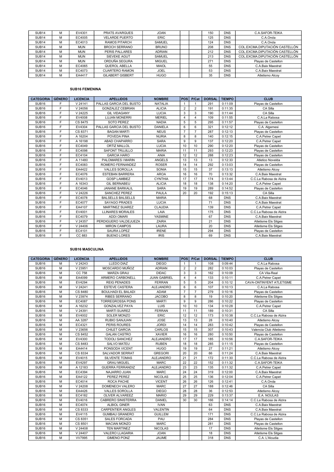| SUB <sub>14</sub> | м | EV4301     | <b>PRATS AVARGUES</b>   | <b>JOAN</b>   |  | 150 | <b>DNS</b> | C.A.SAFOR-TEIKA                |
|-------------------|---|------------|-------------------------|---------------|--|-----|------------|--------------------------------|
| SUB <sub>14</sub> | м | EC4005     | <b>VELARDE PUERTO</b>   | <b>ERIC</b>   |  | 125 | <b>DNS</b> | C.A.Onda                       |
| SUB <sub>14</sub> | м | EC4013     | <b>RAMOS PITARCH</b>    | <b>SAMUEL</b> |  | 124 | <b>DNS</b> | C.A.Onda                       |
| SUB <sub>14</sub> | м | <b>MUN</b> | <b>BROCH SERRANO</b>    | <b>BRUNO</b>  |  | 208 | <b>DNS</b> | COL.EXCMA.DIPUTACIÓN CASTELLÓN |
| SUB <sub>14</sub> | м | <b>MUN</b> | PERIS PALLARES          | <b>ADRIAN</b> |  | 212 | <b>DNS</b> | COL.EXCMA.DIPUTACIÓN CASTELLÓN |
| SUB <sub>14</sub> | м | <b>MUN</b> | <b>SIEVEKE AGUT</b>     | <b>SAMUEL</b> |  | 213 | <b>DNS</b> | COL.EXCMA.DIPUTACIÓN CASTELLÓN |
| SUB <sub>14</sub> | м | <b>MUN</b> | ORDUÑA SEGURA           | <b>MIGUEL</b> |  | 271 | <b>DNS</b> | Playas de Castellon            |
| SUB <sub>14</sub> | м | EC4065     | QUEROL ABELLA           | <b>MAIOL</b>  |  | 55  | <b>DNS</b> | C.A.Baix Maestrat              |
| SUB <sub>14</sub> | м | EC4073     | <b>CUARTERO RAMON</b>   | <b>JOEL</b>   |  | 53  | <b>DNS</b> | C.A.Baix Maestrat              |
| SUB <sub>14</sub> | M | EA4417     | <b>GILABERT GISBERT</b> | <b>HUGO</b>   |  | 35  | <b>DNS</b> | Atletismo Alcoy                |

# SUB16 FEMENINA

| <b>CATEGORIA</b>  | <b>GÉNERO</b> | <b>LICENCIA</b> | <b>APELLIDOS</b>         | <b>NOMBRE</b>  | <b>POS</b>     | P/Cat          | <b>DORSAL</b> | <b>TIEMPO</b> | <b>CLUB</b>             |
|-------------------|---------------|-----------------|--------------------------|----------------|----------------|----------------|---------------|---------------|-------------------------|
| SUB <sub>16</sub> | F             | V 24141         | PALLAS GARCIA DEL BUSTO  | <b>NATALIA</b> |                |                | 291           | 0:11:09       | Playas de Castellon     |
| SUB <sub>16</sub> | F.            | V 24056         | <b>GONZALEZ CEBRIAN</b>  | <b>ALICIA</b>  | $\overline{2}$ | $\overline{2}$ | 191           | 0:11:35       | CA Silla                |
| SUB <sub>16</sub> | F             | V 24225         | <b>GIL VIDAGANY</b>      | <b>LUCIA</b>   | 3              | 3              | 190           | 0:11:44       | CA Silla                |
| SUB <sub>16</sub> | F.            | EV4008          | <b>LUJAN MONERRI</b>     | <b>MERIEL</b>  | 4              | 4              | 109           | 0:11:55       | C.A.La Rabosa           |
| SUB <sub>16</sub> | F             | CS 8475         | SOTO PEREZ               | <b>NADIA</b>   | 5              | 5              | 295           | 0:11:57       | Playas de Castellon     |
| SUB <sub>16</sub> | F.            | EV4304          | PALLAS GARCIA DEL BUSTO  | <b>DANIELA</b> | 6              | 6              | 321           | 0:12:12       | C.A. Algemesi           |
| SUB <sub>16</sub> | F             | CS 8371         | <b>BAGAN MARTI</b>       | <b>NEUS</b>    | $\overline{7}$ | $\overline{7}$ | 287           | 0:12:13       | Playas de Castellon     |
| SUB <sub>16</sub> | F.            | A 16204         | POVEDA PINA              | <b>NURIA</b>   | 8              | 8              | 140           | 0:12:15       | C.A.Petrer Capet        |
| SUB <sub>16</sub> | F             | A 16198         | ABAD CHAPARRO            | <b>SARA</b>    | 9              | 9              | 137           | 0:12:20       | C.A.Petrer Capet        |
| SUB <sub>16</sub> | F             | EC4049          | ORTIZ MALLOL             | <b>LUCIA</b>   | 10             | 10             | 290           | 0:12:20       | Playas de Castellon     |
| SUB <sub>16</sub> | F             | EC4098          | <b>SAFONT TRUJILLO</b>   | <b>MARIA</b>   | 11             | 11             | 293           | 0:12:23       | Playas de Castellon     |
| SUB <sub>16</sub> | F             | EC4104          | <b>GARCIA HARO</b>       | <b>ANIA</b>    | 12             | 12             | 288           | 0:12:23       | Playas de Castellon     |
| SUB <sub>16</sub> | F             | A 11480         | PALOMARES I MARIN        | <b>ANGELS</b>  | 13             | 13             | 13            | 0:12:33       | Atletico Novelda        |
| SUB <sub>16</sub> | F             | EC4083          | ROMERO FERNANDEZ         | <b>ROSER</b>   | 14             | 14             | 292           | 0:13:03       | Playas de Castellon     |
| SUB <sub>16</sub> | F             | EA4422          | <b>VALLES SOROLLA</b>    | SONIA          | 15             | 15             | 37            | 0:13:13       | Atletismo Alcoy         |
| SUB <sub>16</sub> | F             | EC4076          | <b>ESTEBAN BARRERA</b>   | <b>AROA</b>    | 16             | 16             | 70            | 0:13:32       | C.A.Baix Maestrat       |
| SUB <sub>16</sub> | F             | EV4013          | <b>GOSP LAMBIEZ</b>      | <b>CYNTHIA</b> | 17             | 17             | 174           | 0:13:44       | C.C.La Rabosa de Alzira |
| SUB <sub>16</sub> | F             | A 16343         | <b>GIL BERNABEU</b>      | <b>ALICIA</b>  | 18             | 18             | 138           | 0:14:20       | C.A.Petrer Capet        |
| SUB <sub>16</sub> | F             | EC4046          | JANANE BARKALIL          | <b>SARA</b>    | 19             | 19             | 289           | 0:14:52       | Playas de Castellon     |
| SUB <sub>16</sub> | F             | V 24226         | <b>SANCHEZ PEREZ</b>     | PAULA          | 20             | 20             | 192           | 0:15:13       | CA Silla                |
| SUB <sub>16</sub> | F             | EC4078          | <b>BALSELLS BALSELLS</b> | <b>MARIA</b>   |                |                | 68            | <b>DNS</b>    | C.A.Baix Maestrat       |
| SUB <sub>16</sub> | F             | EC4077          | <b>SAYAGO PRADES</b>     | <b>LUCIA</b>   |                |                | 71            | <b>DNS</b>    | C.A.Baix Maestrat       |
| SUB <sub>16</sub> | F             | EA4107          | <b>MARTINEZ SUAREZ</b>   | <b>CLAUDIA</b> |                |                | 139           | <b>DNS</b>    | C.A.Petrer Capet        |
| SUB <sub>16</sub> | F             | EV4001          | <b>LLINARES MORALES</b>  | LAIA           |                |                | 175           | <b>DNS</b>    | C.C.La Rabosa de Alzira |
| SUB <sub>16</sub> | F             | EC4079          | <b>ADDI OMARI</b>        | <b>YASMINE</b> |                |                | 67            | <b>DNS</b>    | C.A.Baix Maestrat       |
| SUB <sub>16</sub> | F             | V 24357         | PERDIGUERO VALDEJUEZA    | <b>ZAIRA</b>   |                |                | 21            | <b>DNS</b>    | Atletisme Els Sitges    |
| SUB <sub>16</sub> | F             | V 24406         | <b>MIRON CAMPOS</b>      | LAURA          |                |                | 20            | <b>DNS</b>    | Atletisme Els Sitges    |
| SUB <sub>16</sub> | F             | EC4101          | SAURA LOPEZ              | <b>IRENE</b>   |                |                | 294           | <b>DNS</b>    | Playas de Castellon     |
| SUB <sub>16</sub> | F             | CC 883          | <b>BUENO LORES</b>       | <b>IRIS</b>    |                |                | 69            | <b>DNS</b>    | C.A.Baix Maestrat       |

# SUB16 MASCULINA

| <b>CATEGORIA</b>  | <b>GÉNERO</b> | <b>LICENCIA</b> | <b>APELLIDOS</b>          | <b>NOMBRE</b>       | <b>POS</b>     | P/Cat           | <b>DORSAL</b> | <b>TIEMPO</b> | <b>CLUB</b>              |
|-------------------|---------------|-----------------|---------------------------|---------------------|----------------|-----------------|---------------|---------------|--------------------------|
| SUB <sub>16</sub> | М             | V 24243         | <b>LLEDO DIAZ</b>         | <b>DIEGO</b>        | $\mathbf{1}$   | $\overline{1}$  | 108           | 0:09:44       | C.A.La Rabosa            |
| <b>SUB16</b>      | М             | V 23951         | MOSCARDO MUÑOZ            | <b>ADRIAN</b>       | $\overline{2}$ | $\overline{2}$  | 282           | 0:10:03       | Playas de Castellon      |
| SUB <sub>16</sub> | М             | CC 758          | MARZA GRAU                | <b>DIDAC</b>        | 3              | 3               | 162           | 0:10:09       | CA Vila-Real             |
| SUB <sub>16</sub> | М             | EA4099          | ARMERO CARBONELL          | <b>JUAN GABRIEL</b> | $\overline{4}$ | $\overline{4}$  | 133           | 0:10:11       | C.A.Petrer Capet         |
| SUB <sub>16</sub> | М             | EV4294          | <b>REIG PENADES</b>       | <b>FERRAN</b>       | 5              | 5               | 204           | 0:10:12       | CAVA-ONTINYENT ATLETISME |
| SUB <sub>16</sub> | М             | V 24241         | <b>ESTEVE CASTERA</b>     | <b>ALEJANDRO</b>    | 6              | 6               | 107           | 0:10:13       | C.A.La Rabosa            |
| SUB <sub>16</sub> | М             | CS 8480         | <b>BOULHADI EL BALADI</b> | <b>ADAM</b>         | $\overline{7}$ | $\overline{7}$  | 279           | 0:10:16       | Playas de Castellon      |
| SUB <sub>16</sub> | М             | V 23974         | <b>RIBES SERRANO</b>      | <b>JACOBO</b>       | 8              | 8               | 19            | 0:10:20       | Atletisme Els Sitges     |
| SUB <sub>16</sub> | M             | EC4087          | <b>TORREGROSSA PONS</b>   | <b>MARTI</b>        | 9              | 9               | 286           | 0:10:22       | Playas de Castellon      |
| <b>SUB16</b>      | M             | A 16232         | <b>GONZALVEZ PAYA</b>     | LUIS                | 10             | 10              | 134           | 0:10:28       | C.A.Petrer Capet         |
| SUB <sub>16</sub> | М             | V 24391         | <b>MARTI SUAREZ</b>       | <b>FERRAN</b>       | 11             | 11              | 189           | 0:10:31       | CA Silla                 |
| SUB <sub>16</sub> | M             | EV4002          | SOLER MONZO               | ERIC                | 12             | 12              | 173           | 0:10:38       | C.C.La Rabosa de Alzira  |
| SUB <sub>16</sub> | М             | AA 3287         | <b>RUBIO SANJUAN</b>      | <b>JOSE</b>         | 13             | 13              | 28            | 0:10:40       | Atletismo Alcoy          |
| SUB <sub>16</sub> | M             | EC4321          | PERIS ROURES              | <b>JORDI</b>        | 14             | 14              | 283           | 0:10:42       | Playas de Castellon      |
| SUB <sub>16</sub> | М             | V 23656         | <b>CHILET GARCIA</b>      | CARLOS              | 15             | 15              | 307           | 0:10:43       | Valencia Club Atletismo  |
| SUB <sub>16</sub> | М             | CS 8452         | <b>GALAN CASTRO</b>       | <b>XAVIER</b>       | 16             | 16              | 280           | 0:10:50       | Playas de Castellon      |
| SUB <sub>16</sub> | М             | EV4300          | <b>TODOLI SANCHEZ</b>     | <b>ALEJANDRO</b>    | 17             | 17              | 185           | 0:10:56       | C.A.SAFOR-TEIKA          |
| <b>SUB16</b>      | М             | CS 8483         | <b>SALVO MATEU</b>        | <b>RUBEN</b>        | 18             | 18              | 285           | 0:11:15       | Playas de Castellon      |
| SUB <sub>16</sub> | M             | EA4414          | PONSODA VICENT            | <b>HUGO</b>         | 19             | 19              | 27            | 0:11:21       | Atletismo Alcoy          |
| SUB <sub>16</sub> | М             | CS 8334         | SALVADOR SERRAT           | <b>GREGORI</b>      | 20             | 20              | 66            | 0:11:24       | C.A.Baix Maestrat        |
| SUB <sub>16</sub> | М             | EV4015          | <b>SILVENTE TOMAS</b>     | <b>ALEJANDRO</b>    | 21             | 21              | 172           | 0:11:30       | C.C.La Rabosa de Alzira  |
| SUB <sub>16</sub> | M             | EV4297          | <b>GRAU MIGUEL</b>        | <b>MARC</b>         | 22             | $\overline{22}$ | 152           | 0:11:32       | C.A.SAFOR-TEIKA          |
| SUB <sub>16</sub> | М             | A 12183         | <b>GUERRA FERRANDIZ</b>   | <b>ALEJANDRO</b>    | 23             | 23              | 135           | 0:11:32       | C.A.Petrer Capet         |
| SUB <sub>16</sub> | M             | EC4394          | NAJARRO JUAN              | <b>MARC</b>         | 24             | 24              | 319           | 0:12:00       | C.A.Baix Maestrat        |
| SUB <sub>16</sub> | M             | EA4122          | PEREZ PEREZ               | <b>NICOLAS</b>      | 25             | 25              | 136           | 0:12:04       | C.A.Petrer Capet         |
| SUB <sub>16</sub> | М             | EC4014          | ROCA PACHE                | <b>VICENT</b>       | 26             | 26              | 126           | 0:12:41       | C.A.Onda                 |
| <b>SUB16</b>      | M             | V 24208         | DOMENECH VALERO           | <b>MARC</b>         | 27             | 27              | 188           | 0:12:46       | CA Silla                 |
| SUB <sub>16</sub> | M             | EA4426          | <b>VALLES SOROLLA</b>     | <b>DIEGO</b>        | 28             | 28              | 36            | 0:12:53       | Atletismo Alcoy          |
| SUB <sub>16</sub> | M             | EC4182          | OLIVER ALVAREEZ           | <b>MARIO</b>        | 29             | 29              | 229           | 0:13:37       | E.A. NOULAS              |
| SUB <sub>16</sub> | M             | EV4016          | CABRERO SINISTERRA        | DANIEL              | 30             | 30              | 166           | 0:14:14       | C.C.La Rabosa de Alzira  |
| <b>SUB16</b>      | М             | EC4074          | <b>ALBIOL GINER</b>       | <b>IVAN</b>         |                |                 | 63            | <b>DNS</b>    | C.A.Baix Maestrat        |
| SUB <sub>16</sub> | М             | CS 8333         | <b>CARPENTIER ANGLES</b>  | VALENTIN            |                |                 | 64            | <b>DNS</b>    | C.A.Baix Maestrat        |
| SUB <sub>16</sub> | M             | EV4115          | <b>GUMBAU GRANERO</b>     | <b>GUILLEM</b>      |                |                 | 171           | <b>DNS</b>    | C.C.La Rabosa de Alzira  |
| SUB <sub>16</sub> | M             | CS 8351         | <b>SALES FORCADA</b>      | PAU                 |                |                 | 284           | <b>DNS</b>    | Playas de Castellon      |
| SUB <sub>16</sub> | M             | CS 8501         | <b>MACIAN MONZO</b>       | <b>MARC</b>         |                |                 | 281           | <b>DNS</b>    | Playas de Castellon      |
| SUB <sub>16</sub> | М             | V 24408         | <b>TEN MARTINEZ</b>       | <b>NICOLAS</b>      |                |                 | 17            | <b>DNS</b>    | Atletisme Els Sitges     |
| SUB <sub>16</sub> | M             | V 24407         | VALERO LLAGARIA           | <b>JOAN</b>         |                |                 | 18            | <b>DNS</b>    | Atletisme Els Sitges     |
| SUB <sub>16</sub> | M             | <b>VV7995</b>   | <b>GIMENO PONZ</b>        | <b>JAUME</b>        |                |                 | 318           | <b>DNS</b>    | C.A. L'Alcudia           |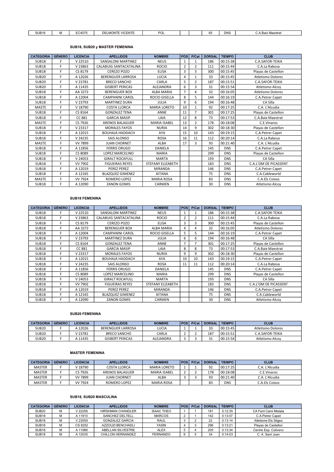| SUB <sub>16</sub> | IVI. | EC4075 | 1.0051<br><b>DELMON</b><br>VICENTE | $n^{\sim}$<br>∽∪∟ |  | $\sim$<br>ы. | <b>DNS</b> | $\sim$<br>A.Baix Maestrat<br>$\mathbf{v}$ |
|-------------------|------|--------|------------------------------------|-------------------|--|--------------|------------|-------------------------------------------|

# SUB18, SUB20 y MASTER FEMENINA

| <b>CATEGORIA</b> | <b>GÉNERO</b> | <b>LICENCIA</b> | <b>APELLIDOS</b>         | <b>NOMBRE</b>        | <b>POS</b>     | P/Cat          | <b>DORSAL</b> | <b>TIEMPO</b> | <b>CLUB</b>              |
|------------------|---------------|-----------------|--------------------------|----------------------|----------------|----------------|---------------|---------------|--------------------------|
| <b>SUB18</b>     | F             | V 22510         | SANSALONI MARTINEZ       | <b>NEUS</b>          | $\mathbf{1}$   | $\mathbf{1}$   | 186           | 00:15:38      | C.A.SAFOR-TEIKA          |
| <b>SUB18</b>     | F             | V 23863         | CALABUIG SANTACATALINA   | <b>ROCIO</b>         | $\overline{2}$ | $\overline{2}$ | 111           | 00:15:44      | C.A.La Rabosa            |
| <b>SUB18</b>     | F             | CS 8179         | <b>CEREZO POZO</b>       | <b>ELISA</b>         | 3              | 3              | 300           | 00:15:45      | Playas de Castellon      |
| <b>SUB20</b>     | F             | A 12026         | <b>BERENGUER LARROSA</b> | <b>LUCIA</b>         | 4              | $\mathbf{1}$   | 33            | 00:15:45      | <b>Atletismo Dolores</b> |
| <b>SUB20</b>     | F             | V 23781         | <b>BRECO SANCHO</b>      | CARLA                | 5              | $\overline{2}$ | 187           | 00:15:51      | C.A.SAFOR-TEIKA          |
| <b>SUB20</b>     | F             | A 11435         | <b>GISBERT PERICAS</b>   | <b>ALEJANDRA</b>     | 6              | 3              | 31            | 00:15:54      | Atletismo Alcov          |
| <b>SUB18</b>     | F             | AA 3272         | <b>BERENGUER BOX</b>     | <b>ALBA MARIA</b>    | $\overline{7}$ | 4              | 32            | 00:16:05      | Atletismo Dolores        |
| <b>SUB18</b>     | F             | A 12004         | CAMPANINI CAROL          | <b>ROCIO GISELLA</b> | 8              | 5              | 144           | 00:16:19      | C.A.Petrer Capet         |
| <b>SUB18</b>     | F             | V 23793         | <b>MARTINEZ DURA</b>     | JULIA                | 9              | 6              | 194           | 00:16:48      | CA Silla                 |
| <b>MASTE</b>     | F             | V 18790         | <b>COSTA LLORCA</b>      | <b>MARIA LORETO</b>  | 10             | $\mathbf{1}$   | 92            | 00:17:25      | C.A. L'Alcudia           |
| <b>SUB18</b>     | F             | CS 8164         | <b>GONZALEZ TENA</b>     | <b>ANNE</b>          | 11             | $\overline{7}$ | 301           | 00:17:25      | Playas de Castellon      |
| <b>SUB18</b>     | F             | CC 881          | <b>GARCIA MASIP</b>      | LAIA                 | 12             | 8              | 73            | 00:17:53      | C.A.Baix Maestrat        |
| <b>MASTE</b>     | F             | CS 7926         | <b>ARENOS BALAGUER</b>   | <b>MARIA ISABEL</b>  | 13             | $\overline{2}$ | 178           | 00:18:08      | C.E.Vinaros              |
| <b>SUB18</b>     | F             | V 23317         | <b>MORALES FAYOS</b>     | <b>NURIA</b>         | 14             | 9              | 302           | 00:18:30      | Playas de Castellon      |
| <b>SUB18</b>     | F             | A 12015         | <b>BOUHAJA HADDACH</b>   | AYA                  | 15             | 10             | 143           | 00:19:15      | C.A.Petrer Capet         |
| <b>SUB18</b>     | F             | V 24235         | <b>SAIS ALONSO</b>       | <b>ROSA</b>          | 16             | 11             | 112           | 00:20:14      | C.A.La Rabosa            |
| <b>MASTE</b>     | F             | <b>VV 7899</b>  | <b>JUAN CHORNET</b>      | ALBA                 | 17             | $\overline{3}$ | 93            | 00:21:40      | C.A. L'Alcudia           |
| <b>SUB18</b>     | F             | A 11856         | <b>FERRIS ORUGO</b>      | <b>DANIELA</b>       |                |                | 145           | <b>DNS</b>    | C.A.Petrer Capet         |
| <b>SUB18</b>     | F             | CS 8089         | <b>LOPEZ MARCELINO</b>   | <b>MARIA</b>         |                |                | 299           | <b>DNS</b>    | Playas de Castellon      |
| <b>SUB18</b>     | F             | V 24053         | <b>GIRALT ROCAFULL</b>   | <b>MARTA</b>         |                |                | 193           | <b>DNS</b>    | CA Silla                 |
| <b>SUB18</b>     | F             | VV 7902         | <b>FIGUEIRAS REYES</b>   | STEFANY ELIZABETH    |                |                | 183           | <b>DNS</b>    | C.A.L'OM DE PICASSENT    |
| <b>SUB18</b>     | F             | A 12019         | PEREZ PEREZ              | <b>MIRANDA</b>       |                |                | 146           | <b>DNS</b>    | C.A.Petrer Capet         |
| <b>SUB18</b>     | F             | A 12165         | <b>BLAZQUEZ GIMENEZ</b>  | <b>AITANA</b>        |                |                | 75            | <b>DNS</b>    | C.A.Cableworld           |
| <b>MASTE</b>     | F             | <b>VV 7924</b>  | <b>ROMERO LOPEZ</b>      | <b>MARIA ROSA</b>    |                |                | 83            | <b>DNS</b>    | C.A.Els Coixos           |
| <b>SUB18</b>     | F             | A 12090         | <b>ZANON GOMIS</b>       | CARMEN               |                |                | 30            | <b>DNS</b>    | Atletismo Alcoy          |

## SUB18 FEMENINA

| <b>CATEGORIA</b>  | <b>GÉNERO</b> | <b>LICENCIA</b> | <b>APELLIDOS</b>        | <b>NOMBRE</b>     | <b>POS</b>     | P/Cat          | <b>DORSAL</b> | <b>TIEMPO</b> | <b>CLUB</b>                  |
|-------------------|---------------|-----------------|-------------------------|-------------------|----------------|----------------|---------------|---------------|------------------------------|
| SUB <sub>18</sub> | F             | V 22510         | SANSALONI MARTINEZ      | <b>NEUS</b>       |                |                | 186           | 00:15:38      | C.A.SAFOR-TEIKA              |
| SUB <sub>18</sub> | F             | V 23863         | CALABUIG SANTACATALINA  | <b>ROCIO</b>      | $\overline{2}$ | $\overline{2}$ | 111           | 00:15:44      | C.A.La Rabosa                |
| <b>SUB18</b>      | F             | CS 8179         | <b>CEREZO POZO</b>      | <b>ELISA</b>      | 3              | 3              | 300           | 00:15:45      | Playas de Castellon          |
| SUB <sub>18</sub> | F             | AA 3272         | <b>BERENGUER BOX</b>    | <b>ALBA MARIA</b> | 4              | 4              | 32            | 00:16:05      | <b>Atletismo Dolores</b>     |
| SUB <sub>18</sub> | F             | A 12004         | <b>CAMPANINI CAROL</b>  | ROCIO GISELLA     | 5.             | 5              | 144           | 00:16:19      | C.A.Petrer Capet             |
| SUB <sub>18</sub> | F.            | V 23793         | <b>MARTINEZ DURA</b>    | JULIA             | 6              | 6              | 194           | 00:16:48      | CA Silla                     |
| SUB <sub>18</sub> | F             | CS 8164         | <b>GONZALEZ TENA</b>    | <b>ANNE</b>       |                |                | 301           | 00:17:25      | Playas de Castellon          |
| <b>SUB18</b>      | F             | CC 881          | <b>GARCIA MASIP</b>     | LAIA              | 8              | 8              | 73            | 00:17:53      | C.A.Baix Maestrat            |
| SUB <sub>18</sub> | F             | V 23317         | <b>MORALES FAYOS</b>    | <b>NURIA</b>      | 9              | 9              | 302           | 00:18:30      | Playas de Castellon          |
| SUB <sub>18</sub> | F.            | A 12015         | <b>BOUHAJA HADDACH</b>  | AYA               | 10             | 10             | 143           | 00:19:15      | C.A.Petrer Capet             |
| SUB <sub>18</sub> | F.            | V 24235         | SAIS ALONSO             | <b>ROSA</b>       | 11             | 11             | 112           | 00:20:14      | C.A.La Rabosa                |
| <b>SUB18</b>      | F             | A 11856         | <b>FERRIS ORUGO</b>     | <b>DANIELA</b>    |                |                | 145           | <b>DNS</b>    | C.A.Petrer Capet             |
| <b>SUB18</b>      | F             | CS 8089         | <b>LOPEZ MARCELINO</b>  | <b>MARIA</b>      |                |                | 299           | <b>DNS</b>    | Playas de Castellon          |
| SUB <sub>18</sub> | F             | V 24053         | <b>GIRALT ROCAFULL</b>  | <b>MARTA</b>      |                |                | 193           | <b>DNS</b>    | CA Silla                     |
| SUB <sub>18</sub> | F             | VV 7902         | <b>FIGUEIRAS REYES</b>  | STEFANY ELIZABETH |                |                | 183           | <b>DNS</b>    | <b>C.A.L'OM DE PICASSENT</b> |
| SUB <sub>18</sub> | F.            | A 12019         | <b>PEREZ PEREZ</b>      | <b>MIRANDA</b>    |                |                | 146           | <b>DNS</b>    | C.A.Petrer Capet             |
| SUB <sub>18</sub> | F.            | A 12165         | <b>BLAZQUEZ GIMENEZ</b> | <b>AITANA</b>     |                |                | 75            | <b>DNS</b>    | C.A.Cableworld               |
| <b>SUB18</b>      | F             | A 12090         | <b>ZANON GOMIS</b>      | CARMEN            |                |                | 30            | <b>DNS</b>    | Atletismo Alcoy              |

# SUB20 FEMENINA

| <b>CATEGORIA</b> | <b>GÉNERO</b> | <b>LICENCIA</b> | <b>APELLIDOS</b>         | <b>NOMBRE</b> | l POS l | P/Cat | <b>DORSAL</b> | <b>TIEMPO</b> | <b>CLUB</b>       |
|------------------|---------------|-----------------|--------------------------|---------------|---------|-------|---------------|---------------|-------------------|
| <b>SUB20</b>     |               | A 12026         | <b>BERENGUER LARROSA</b> | <b>LUCIA</b>  |         |       | $\sim$<br>33  | 00:15:45      | Atletismo Dolores |
| <b>SUB20</b>     |               | V 23781         | <b>BRECO SANCHO</b>      | CARLA         |         |       | 187           | 00:15:51      | C.A.SAFOR-TEIKA   |
| <b>SUB20</b>     |               | A 11435         | <b>GISBERT PERICAS</b>   | ALEJANDRA     |         |       | ـ ب           | 00:15:54      | Atletismo Alcov   |

# MASTER FEMENINA

| <b>CATEGORIA</b> | <b>GENERO</b> | <b>LICENCIA</b> | <b>APELLIDOS</b>    | <b>NOMBRE</b>       | l POS l | P/Cat | <b>DORSAL</b> | <b>TIEMPO</b> | <b>CLUB</b>    |
|------------------|---------------|-----------------|---------------------|---------------------|---------|-------|---------------|---------------|----------------|
| <b>MASTER</b>    |               | V 18790         | COSTA LLORCA        | <b>MARIA LORETO</b> |         |       | 92            | 00:17:25      | C.A. L'Alcudia |
| <b>MASTER</b>    |               | CS 7926         | ARENOS BALAGUER     | <b>MARIA ISABEL</b> |         |       | 178           | 00:18:08      | C.E.Vinaros    |
| <b>MASTER</b>    |               | VV 7899         | <b>JUAN CHORNET</b> | ALBA                |         |       | 93            | 00:21:40      | C.A. L'Alcudia |
| <b>MASTER</b>    |               | VV 7924         | ROMERO LOPEZ        | <b>MARIA ROSA</b>   |         |       | 83            | DNS           | C.A.Els Coixos |

## SUB18, SUB20 MASCULINA

| <b>CATEGORIA</b>  | <b>GÉNERO</b> | LICENCIA | <b>APELLIDOS</b>         | <b>NOMBRE</b>     | <b>POS</b> | P/Cat | <b>DORSAL</b> | <b>TIEMPO</b> | <b>CLUB</b>          |
|-------------------|---------------|----------|--------------------------|-------------------|------------|-------|---------------|---------------|----------------------|
| <b>SUB20</b>      |               | V 22256  | <b>HIRSHMAN CHANDLER</b> | <b>ISAAC THEO</b> |            |       | 181           | 0:12:35       | CA Fent Cami Mislata |
| SUB <sub>18</sub> | M             | A 11910  | SANCHEZ DELTELL          | <b>MARCOS</b>     |            |       | 142           | 0:13:07       | C.A.Petrer Capet     |
| SUB <sub>18</sub> | M             | V 23559  | <b>GONZALEZ GARCIA</b>   | <b>RAUL</b>       |            |       | 22            | 0:13:14       | Atletisme Els Sitges |
| SUB <sub>18</sub> | M             | CS 8252  | AZZOUZI BENCHADLI        | <b>YASIN</b>      |            |       | 296           | 0:13:21       | Playas de Castellon  |
| SUB <sub>18</sub> | м             | A 11986  | ABELLAN SILVESTRE        | <b>ALEX</b>       |            |       | 205           | 0:13:34       | Centre Esp. Colivenc |
| SUB <sub>18</sub> |               | A 12035  | CHILLON HERNANDEZ        | <b>FERNANDO</b>   | 6          |       | 34            | 0:14:03       | C. A. Sant Joan      |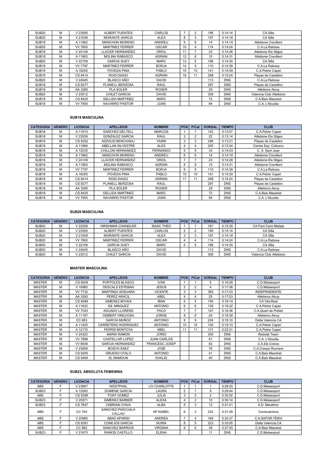| SUB <sub>20</sub> | м | V 23595        | ALBERT FUENTES          | CARLOS        | $\overline{ }$ | $\overline{2}$ | 195 | 0:14:14    | CA Silla                    |
|-------------------|---|----------------|-------------------------|---------------|----------------|----------------|-----|------------|-----------------------------|
| SUB <sub>20</sub> | м | V 21838        | <b>MORANTE GARCIA</b>   | <b>ALEX</b>   | 8              | 3              | 197 | 0:14:18    | CA Silla                    |
| SUB <sub>18</sub> | м | A 11862        | <b>MANCHON MORENO</b>   | <b>ANDREU</b> | 9              | 6              | 14  | 0:14:19    | <b>Atletisme Crevillent</b> |
| SUB <sub>20</sub> | м | <b>VV 7800</b> | <b>MARTINEZ FERRER</b>  | <b>OSCAR</b>  | 10             | 4              | 114 | 0:14:24    | C.A.La Rabosa               |
| SUB <sub>18</sub> | м | V 24149        | LLACER HERNANDEZ        | <b>ORIOL</b>  | 11             |                | 23  | 0:14:28    | <b>Atletisme Els Sitges</b> |
| SUB <sub>18</sub> | м | A 11863        | <b>MOLINA RABASCO</b>   | <b>ADRIAN</b> | 12             | 8              | 15  | 0:14:31    | <b>Atletisme Crevillent</b> |
| SUB <sub>20</sub> | м | V 22158        | <b>GARCIA SUEY</b>      | <b>MARC</b>   | 13             | 5              | 196 | 0:14:35    | CA Silla                    |
| SUB <sub>18</sub> | м | <b>VV 7797</b> | <b>MARTINEZ FERRER</b>  | <b>BORJA</b>  | 14             | 9              | 110 | 0:14:39    | C.A.La Rabosa               |
| SUB <sub>18</sub> | м | A 16255        | POVEDA PINA             | PABLO         | 15             | 10             | 141 | 0:14:39    | C.A.Petrer Capet            |
| SUB <sub>18</sub> | м | CS 8414        | <b>ROIG DIAGO</b>       | <b>ADRIAN</b> | 16             | 11             | 298 | 0:15:24    | Playas de Castellon         |
| SUB <sub>20</sub> | м | V 24045        | <b>BLASCO AÑO</b>       | <b>DAVID</b>  |                |                | 113 | <b>DNS</b> | C.A.La Rabosa               |
| SUB <sub>18</sub> | м | CS 8277        | PLANELL BERZOSA         | <b>RAUL</b>   |                |                | 297 | <b>DNS</b> | Playas de Castellon         |
| SUB <sub>18</sub> | м | AA 3285        | <b>PLA SOLER</b>        | <b>ROGER</b>  |                |                | 29  | <b>DNS</b> | Atletismo Alcoy             |
| SUB <sub>20</sub> | м | V 23512        | <b>CHILET GARCIA</b>    | <b>DAVID</b>  |                |                | 308 | <b>DNS</b> | Valencia Club Atletismo     |
| SUB <sub>18</sub> | м | CS 8425        | <b>GELLIDA MARTINEZ</b> | <b>MARC</b>   |                |                | 72  | <b>DNS</b> | C.A.Baix Maestrat           |
| SUB <sub>18</sub> | м | VV 7900        | <b>NAVARRO PASTOR</b>   | <b>JOAN</b>   |                |                | 94  | <b>DNS</b> | C.A. L'Alcudia              |

## SUB18 MASCULINA

| <b>CATEGORIA</b>  | <b>GÉNERO</b> | <b>LICENCIA</b> | <b>APELLIDOS</b>        | <b>NOMBRE</b>   | POS            | P/Cat          | <b>DORSAL</b> | <b>TIEMPO</b> | <b>CLUB</b>                 |
|-------------------|---------------|-----------------|-------------------------|-----------------|----------------|----------------|---------------|---------------|-----------------------------|
| SUB <sub>18</sub> | м             | A 11910         | <b>SANCHEZ DELTELL</b>  | <b>MARCOS</b>   |                |                | 142           | 0:13:07       | C.A.Petrer Capet            |
| SUB <sub>18</sub> | м             | V 23559         | <b>GONZALEZ GARCIA</b>  | <b>RAUL</b>     | $\overline{2}$ | $\overline{2}$ | 22            | 0:13:14       | Atletisme Els Sitges        |
| SUB <sub>18</sub> | м             | CS 8252         | AZZOUZI BENCHADLI       | <b>YASIN</b>    | 3              | 3              | 296           | 0:13:21       | Playas de Castellon         |
| SUB <sub>18</sub> | м             | A 11986         | ABELLAN SILVESTRE       | <b>ALEX</b>     | 4              | 4              | 205           | 0:13:34       | Centre Esp. Colivenc        |
| SUB <sub>18</sub> | м             | A 12035         | CHILLON HERNANDEZ       | <b>FERNANDO</b> | 5              | 5              | 34            | 0:14:03       | C. A. Sant Joan             |
| SUB <sub>18</sub> | М             | A 11862         | <b>MANCHON MORENO</b>   | <b>ANDREU</b>   | 6              | 6              | 14            | 0:14:19       | Atletisme Crevillent        |
| SUB <sub>18</sub> | м             | V 24149         | LLACER HERNANDEZ        | <b>ORIOL</b>    |                |                | 23            | 0:14:28       | Atletisme Els Sitges        |
| SUB <sub>18</sub> | м             | A 11863         | <b>MOLINA RABASCO</b>   | <b>ADRIAN</b>   | 8              | 8              | 15            | 0:14:31       | <b>Atletisme Crevillent</b> |
| SUB <sub>18</sub> | м             | <b>VV 7797</b>  | <b>MARTINEZ FERRER</b>  | <b>BORJA</b>    | 9              | 9              | 110           | 0:14:39       | C.A.La Rabosa               |
| SUB <sub>18</sub> | м             | A 16255         | POVEDA PINA             | PABLO           | 10             | 10             | 141           | 0:14:39       | C.A.Petrer Capet            |
| SUB <sub>18</sub> | м             | CS 8414         | <b>ROIG DIAGO</b>       | <b>ADRIAN</b>   | 11             | 11             | 298           | 0:15:24       | Playas de Castellon         |
| SUB <sub>18</sub> | м             | CS 8277         | PLANELL BERZOSA         | <b>RAUL</b>     |                |                | 297           | <b>DNS</b>    | Playas de Castellon         |
| SUB <sub>18</sub> | м             | AA 3285         | <b>PLA SOLER</b>        | <b>ROGER</b>    |                |                | 29            | <b>DNS</b>    | Atletismo Alcoy             |
| SUB <sub>18</sub> | м             | CS 8425         | <b>GELLIDA MARTINEZ</b> | <b>MARC</b>     |                |                | 72            | <b>DNS</b>    | C.A.Baix Maestrat           |
| SUB <sub>18</sub> | м             | <b>VV 7900</b>  | <b>NAVARRO PASTOR</b>   | <b>JOAN</b>     |                |                | 94            | <b>DNS</b>    | C.A. L'Alcudia              |

# SUB20 MASCULINA

| <b>CATEGORIA</b> | <b>GÉNERO</b> | <b>LICENCIA</b> | <b>APELLIDOS</b>         | <b>NOMBRE</b>     | <b>POS</b> | P/Cat | <b>DORSAL</b> | <b>TIEMPO</b> | <b>CLUB</b>             |
|------------------|---------------|-----------------|--------------------------|-------------------|------------|-------|---------------|---------------|-------------------------|
| <b>SUB20</b>     | M             | V 22256         | <b>HIRSHMAN CHANDLER</b> | <b>ISAAC THEO</b> |            |       | 181           | 0:12:35       | CA Fent Cami Mislata    |
| <b>SUB20</b>     | М             | V 23595         | ALBERT FUENTES           | CARLOS            |            |       | 195           | 0:14:14       | CA Silla                |
| <b>SUB20</b>     | M             | V 21838         | <b>MORANTE GARCIA</b>    | <b>ALEX</b>       |            |       | 197           | 0:14:18       | CA Silla                |
| <b>SUB20</b>     | M             | <b>VV 7800</b>  | <b>MARTINEZ FERRER</b>   | <b>OSCAR</b>      |            |       | 114           | 0:14:24       | C.A.La Rabosa           |
| <b>SUB20</b>     | M             | V 22158         | <b>GARCIA SUEY</b>       | <b>MARC</b>       | л          |       | 196           | 0:14:35       | CA Silla                |
| <b>SUB20</b>     | M             | V 24045         | BLASCO AÑO               | <b>DAVID</b>      |            |       | 113           | <b>DNS</b>    | C.A.La Rabosa           |
| <b>SUB20</b>     | M             | V 23512         | <b>CHILET GARCIA</b>     | <b>DAVID</b>      |            |       | 308           | <b>DNS</b>    | Valencia Club Atletismo |

#### MASTER MASCULINA

| <b>CATEGORIA</b> | <b>GÉNERO</b> | <b>LICENCIA</b> | <b>APELLIDOS</b>        | <b>NOMBRE</b>         | <b>POS</b>     | P/Cat          | <b>DORSAL</b> | <b>TIEMPO</b> | <b>CLUB</b>          |
|------------------|---------------|-----------------|-------------------------|-----------------------|----------------|----------------|---------------|---------------|----------------------|
| <b>MASTER</b>    | м             | CS 8008         | PORTOLES BLASCO         | <b>IVAN</b>           |                |                | 5             | 0:16:29       | C.D.Metaesport       |
| <b>MASTER</b>    | м             | V 18980         | <b>DESCALS ESTEBAN</b>  | <b>JESUS</b>          | $\overline{2}$ | $\overline{2}$ | 4             | 0:17:08       | C.D.Metaesport       |
| <b>MASTER</b>    | м             | VV 7732         | <b>MARTINEZ ADSUARA</b> | <b>VICENTE</b>        | 3              | 3              | 385           | 0:17:23       | <b>INDEPENDIENTE</b> |
| <b>MASTER</b>    | M             | AA 3283         | PEREZ ARACIL            | ABEL                  | 4              | 4              | 25            | 0:17:53       | Atletismo Alcoy      |
| <b>MASTER</b>    | м             | CS 8489         | <b>GIMENEZ BOVEA</b>    | <b>IBAN</b>           | 5              | 5              | 159           | 0:18:14       | CA Vila-Real         |
| <b>MASTER</b>    | м             | A 11632         | <b>GIL MINGUEZ</b>      | <b>ANTONIO</b>        | 6              | 6              | 129           | 0:18:32       | C.A.Petrer Capet     |
| <b>MASTER</b>    | M             | VV 7043         | <b>AGUADO LLORENS</b>   | <b>PACO</b>           |                |                | 147           | 0:18:36       | C.A.Quart de Poblet  |
| <b>MASTER</b>    | м             | A 11197         | <b>GISBERT HINOJOSA</b> | <b>JORGE</b>          | 8              | 8              | 24            | 0:18:39       | Atletismo Alcoy      |
| <b>MASTER</b>    | м             | CC 683          | <b>GARCIA MUÑOZ</b>     | <b>ANTONIO</b>        | 9              | 9              | 224           | 0:19:10       | Delta Valencia CA    |
| <b>MASTER</b>    | M             | A 11525         | CARRETERO RODRIGUEZ     | <b>ANTONIO</b>        | 10             | 10             | 130           | 0:19:13       | C.A.Petrer Capet     |
| <b>MASTER</b>    | м             | A 12170         | <b>FERRIS MONTOYA</b>   | ABEL                  | 11             | 11             | 131           | 0:22:21       | C.A.Petrer Capet     |
| <b>MASTER</b>    | м             | V 24320         | <b>MARIA RAMON</b>      | <b>JORDI</b>          |                |                | 305           | <b>DNS</b>    | Redolat Team         |
| <b>MASTER</b>    | м             | VV 7898         | CASTELLAR LOPEZ         | <b>JUAN CARLOS</b>    |                |                | 91            | <b>DNS</b>    | C.A. L'Alcudia       |
| <b>MASTER</b>    | м             | VV 6636         | <b>GARCIA HERNANDEZ</b> | <b>FRANCESC JOSEP</b> |                |                | 82            | <b>DNS</b>    | C.A.Els Coixos       |
| <b>MASTER</b>    | м             | V 23608         | <b>BOSCH SAEZ</b>       | <b>JOSE</b>           |                |                | 76            | <b>DNS</b>    | C.A.Crespo Runners   |
| <b>MASTER</b>    | м             | CS 8255         | <b>GRUESO OTALO</b>     | <b>ANTONIO</b>        |                |                | 41            | <b>DNS</b>    | C.A.Baix Maestrat    |
| <b>MASTER</b>    | м             | CS 8494         | <b>EL MAMOUN</b>        | <b>KHALID</b>         |                |                | 40            | <b>DNS</b>    | C.A.Baix Maestrat    |

#### SUB23, ABSOLUTA FEMENINA

| <b>CATEGORIA</b>  | <b>GÉNERO</b> | <b>LICENCIA</b> | <b>APELLIDOS</b>           | <b>NOMBRE</b>         | <b>POS</b> | P/Cat | <b>DORSAL</b> | <b>TIEMPO</b> | <b>CLUB</b>       |
|-------------------|---------------|-----------------|----------------------------|-----------------------|------------|-------|---------------|---------------|-------------------|
| <b>ABS</b>        | E             | V 23867         | WESTPHAL                   | LIV CHARLOTTE         |            |       |               | 0:29:03       | C.D.Metaesport    |
| SUB <sub>23</sub> | Е             | A 12083         | <b>DOMENE GARCIA</b>       | <b>LAURA</b>          | $\Omega$   |       | 9             | 0:29:44       | C.D.Metaesport    |
| <b>ABS</b>        | E             | CS 8298         | <b>FONT GOMEZ</b>          | <b>JULIA</b>          | 3          |       |               | 0:30:02       | C.D.Metaesport    |
| SUB <sub>23</sub> | E             | V 20971         | <b>GIMENEZ BARBER</b>      | <b>ALEXA</b>          | 4          | ◠     | 10            | 0:30:14       | C.D.Metaesport    |
| SUB <sub>23</sub> | F             | CS 7647         | <b>CEBRIAN CHIVA</b>       | <b>ALBA</b>           | 5          | 3     | 12            | 0:31:21       | A.D. Marathon     |
| <b>ABS</b>        | Е             | CC 704          | SANCHEZ-PASCUALA<br>CALLAU | M <sup>a</sup> ISABEL | 6          | 3     | 222           | 0:31:39       | Correcaminos      |
| ABS               | E             | V 20985         | <b>ABAD APARISI</b>        | <b>ANDREA</b>         |            |       | 184           | 0:32:37       | C.A.SAFOR-TEIKA   |
| ABS               | Е             | CS 8391         | <b>CONEJOS GARCIA</b>      | <b>NURIA</b>          | 8          | -5    | 223           | 0:33:05       | Delta Valencia CA |
| <b>ABS</b>        | F             | CC 882          | SANCHEZ BARRIOS            | <b>VIRGINIA</b>       | 9          | 6     | 39            | 0:37:30       | C.A.Baix Maestrat |
| SUB <sub>23</sub> | F             | V 21675         | RAMOS CASTILLO             | <b>ELENA</b>          |            |       | 11            | <b>DNS</b>    | C.D.Metaesport    |